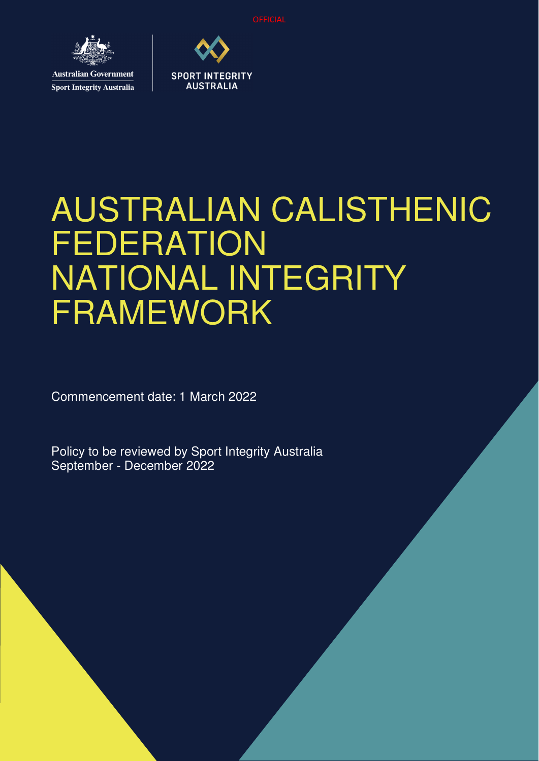**OFFICIAL** 



**Sport Integrity Australia** 



# AUSTRALIAN CALISTHENIC **FEDERATION** NATIONAL INTEGRITY FRAMEWORK

Commencement date: 1 March 2022

Policy to be reviewed by Sport Integrity Australia September - December 2022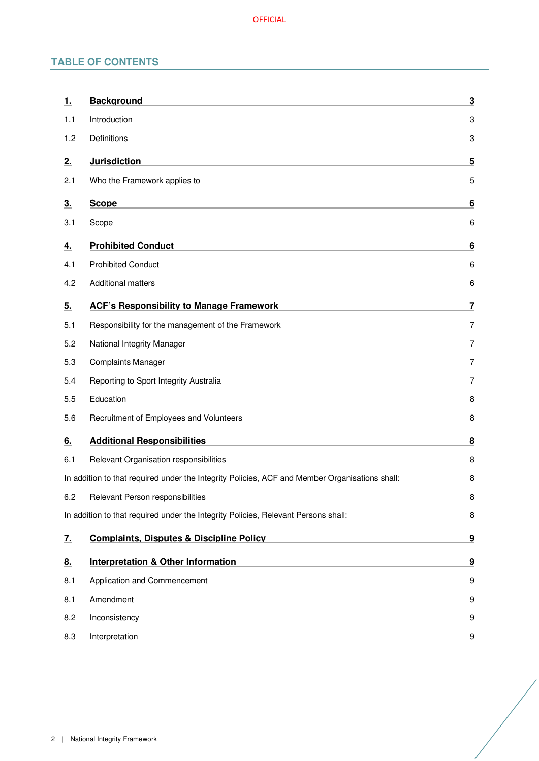## **TABLE OF CONTENTS**

| <u>1.</u>                                                                               | <b>Background</b>                                                                              | 3              |
|-----------------------------------------------------------------------------------------|------------------------------------------------------------------------------------------------|----------------|
| 1.1                                                                                     | Introduction                                                                                   | 3              |
| 1.2                                                                                     | Definitions                                                                                    | 3              |
| 2.                                                                                      | <b>Jurisdiction</b>                                                                            | 5              |
| 2.1                                                                                     | Who the Framework applies to                                                                   | 5              |
| 3.                                                                                      | <b>Scope</b>                                                                                   | 6              |
| 3.1                                                                                     | Scope                                                                                          | 6              |
| 4.                                                                                      | <b>Prohibited Conduct</b>                                                                      | 6              |
| 4.1                                                                                     | <b>Prohibited Conduct</b>                                                                      | 6              |
| 4.2                                                                                     | <b>Additional matters</b>                                                                      | 6              |
| 5.                                                                                      | <b>ACF's Responsibility to Manage Framework</b>                                                | 7              |
| 5.1                                                                                     | Responsibility for the management of the Framework                                             | $\overline{7}$ |
| 5.2                                                                                     | National Integrity Manager                                                                     | $\overline{7}$ |
| 5.3                                                                                     | <b>Complaints Manager</b>                                                                      | 7              |
| 5.4                                                                                     | Reporting to Sport Integrity Australia                                                         | $\overline{7}$ |
| 5.5                                                                                     | Education                                                                                      | 8              |
| 5.6                                                                                     | Recruitment of Employees and Volunteers                                                        | 8              |
| 6.                                                                                      | <b>Additional Responsibilities</b>                                                             | 8              |
| 6.1                                                                                     | Relevant Organisation responsibilities                                                         | 8              |
|                                                                                         | In addition to that required under the Integrity Policies, ACF and Member Organisations shall: | 8              |
| 6.2                                                                                     | Relevant Person responsibilities                                                               | 8              |
| In addition to that required under the Integrity Policies, Relevant Persons shall:<br>8 |                                                                                                |                |
| <u>7.</u>                                                                               | <b>Complaints, Disputes &amp; Discipline Policy</b>                                            | 9              |
| 8.                                                                                      | <b>Interpretation &amp; Other Information</b>                                                  | 9              |
| 8.1                                                                                     | Application and Commencement                                                                   | 9              |
| 8.1                                                                                     | Amendment                                                                                      | 9              |
| 8.2                                                                                     | Inconsistency                                                                                  | 9              |
| 8.3                                                                                     | Interpretation                                                                                 | 9              |
|                                                                                         |                                                                                                |                |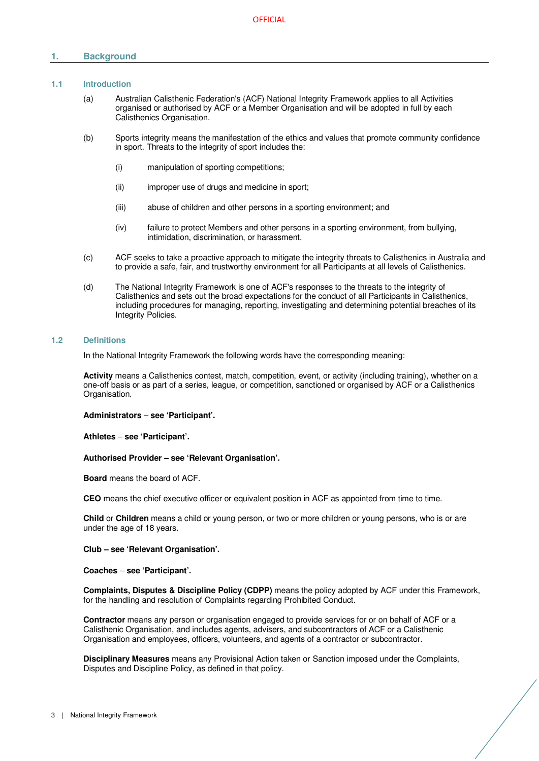## **1. Background**

## **1.1 Introduction**

- (a) Australian Calisthenic Federation's (ACF) National Integrity Framework applies to all Activities organised or authorised by ACF or a Member Organisation and will be adopted in full by each Calisthenics Organisation.
- (b) Sports integrity means the manifestation of the ethics and values that promote community confidence in sport. Threats to the integrity of sport includes the:
	- (i) manipulation of sporting competitions;
	- (ii) improper use of drugs and medicine in sport;
	- (iii) abuse of children and other persons in a sporting environment; and
	- (iv) failure to protect Members and other persons in a sporting environment, from bullying, intimidation, discrimination, or harassment.
- (c) ACF seeks to take a proactive approach to mitigate the integrity threats to Calisthenics in Australia and to provide a safe, fair, and trustworthy environment for all Participants at all levels of Calisthenics.
- (d) The National Integrity Framework is one of ACF's responses to the threats to the integrity of Calisthenics and sets out the broad expectations for the conduct of all Participants in Calisthenics, including procedures for managing, reporting, investigating and determining potential breaches of its Integrity Policies.

## **1.2 Definitions**

In the National Integrity Framework the following words have the corresponding meaning:

**Activity** means a Calisthenics contest, match, competition, event, or activity (including training), whether on a one-off basis or as part of a series, league, or competition, sanctioned or organised by ACF or a Calisthenics Organisation.

#### **Administrators** – **see 'Participant'.**

**Athletes** – **see 'Participant'.** 

#### **Authorised Provider – see 'Relevant Organisation'.**

**Board** means the board of ACF.

**CEO** means the chief executive officer or equivalent position in ACF as appointed from time to time.

**Child** or **Children** means a child or young person, or two or more children or young persons, who is or are under the age of 18 years.

## **Club – see 'Relevant Organisation'.**

**Coaches** – **see 'Participant'.** 

**Complaints, Disputes & Discipline Policy (CDPP)** means the policy adopted by ACF under this Framework, for the handling and resolution of Complaints regarding Prohibited Conduct.

**Contractor** means any person or organisation engaged to provide services for or on behalf of ACF or a Calisthenic Organisation, and includes agents, advisers, and subcontractors of ACF or a Calisthenic Organisation and employees, officers, volunteers, and agents of a contractor or subcontractor.

**Disciplinary Measures** means any Provisional Action taken or Sanction imposed under the Complaints, Disputes and Discipline Policy, as defined in that policy.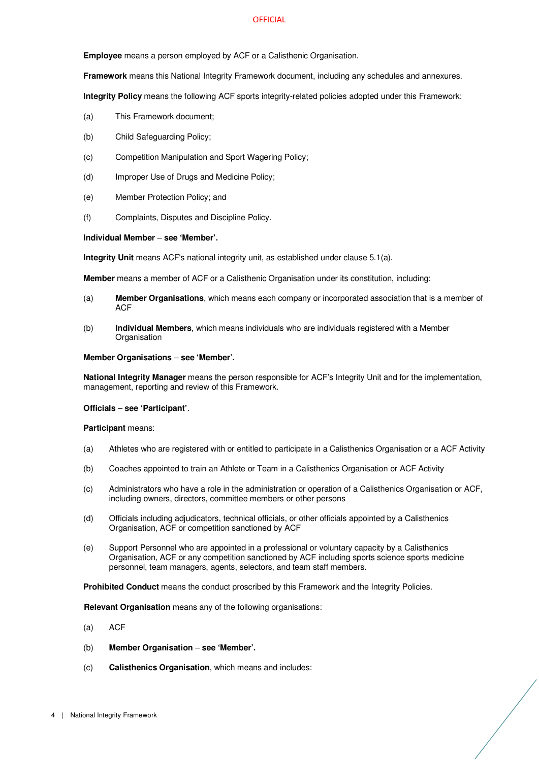#### **OFFICIAL**

**Employee** means a person employed by ACF or a Calisthenic Organisation.

**Framework** means this National Integrity Framework document, including any schedules and annexures.

**Integrity Policy** means the following ACF sports integrity-related policies adopted under this Framework:

- (a) This Framework document;
- (b) Child Safeguarding Policy;
- (c) Competition Manipulation and Sport Wagering Policy;
- (d) Improper Use of Drugs and Medicine Policy;
- (e) Member Protection Policy; and
- (f) Complaints, Disputes and Discipline Policy.

## **Individual Member** – **see 'Member'.**

**Integrity Unit** means ACF's national integrity unit, as established under clause 5.1(a).

**Member** means a member of ACF or a Calisthenic Organisation under its constitution, including:

- (a) **Member Organisations**, which means each company or incorporated association that is a member of ACF
- (b) **Individual Members**, which means individuals who are individuals registered with a Member **Organisation**

#### **Member Organisations** – **see 'Member'.**

**National Integrity Manager** means the person responsible for ACF's Integrity Unit and for the implementation, management, reporting and review of this Framework.

## **Officials** – **see 'Participant'**.

#### **Participant** means:

- (a) Athletes who are registered with or entitled to participate in a Calisthenics Organisation or a ACF Activity
- (b) Coaches appointed to train an Athlete or Team in a Calisthenics Organisation or ACF Activity
- (c) Administrators who have a role in the administration or operation of a Calisthenics Organisation or ACF, including owners, directors, committee members or other persons
- (d) Officials including adjudicators, technical officials, or other officials appointed by a Calisthenics Organisation, ACF or competition sanctioned by ACF
- (e) Support Personnel who are appointed in a professional or voluntary capacity by a Calisthenics Organisation, ACF or any competition sanctioned by ACF including sports science sports medicine personnel, team managers, agents, selectors, and team staff members.

**Prohibited Conduct** means the conduct proscribed by this Framework and the Integrity Policies.

**Relevant Organisation** means any of the following organisations:

- (a) ACF
- (b) **Member Organisation see 'Member'.**
- (c) **Calisthenics Organisation**, which means and includes: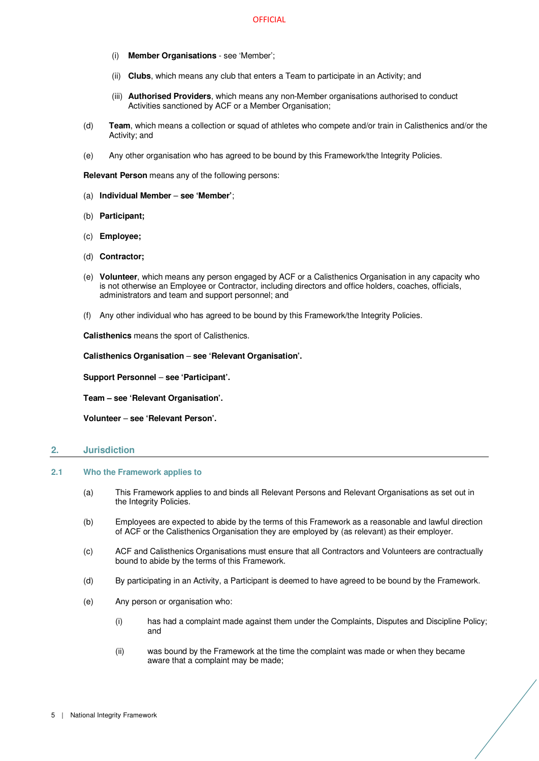- (i) **Member Organisations** see 'Member';
- (ii) **Clubs**, which means any club that enters a Team to participate in an Activity; and
- (iii) **Authorised Providers**, which means any non-Member organisations authorised to conduct Activities sanctioned by ACF or a Member Organisation:
- (d) **Team**, which means a collection or squad of athletes who compete and/or train in Calisthenics and/or the Activity; and
- (e) Any other organisation who has agreed to be bound by this Framework/the Integrity Policies.

**Relevant Person** means any of the following persons:

- (a) **Individual Member see 'Member'**;
- (b) **Participant;**
- (c) **Employee;**
- (d) **Contractor;**
- (e) **Volunteer**, which means any person engaged by ACF or a Calisthenics Organisation in any capacity who is not otherwise an Employee or Contractor, including directors and office holders, coaches, officials, administrators and team and support personnel; and
- (f) Any other individual who has agreed to be bound by this Framework/the Integrity Policies.

**Calisthenics** means the sport of Calisthenics.

**Calisthenics Organisation** – **see 'Relevant Organisation'.**

**Support Personnel** – **see 'Participant'.** 

**Team – see 'Relevant Organisation'.** 

**Volunteer** – **see 'Relevant Person'.** 

## **2. Jurisdiction**

- **2.1 Who the Framework applies to** 
	- (a) This Framework applies to and binds all Relevant Persons and Relevant Organisations as set out in the Integrity Policies.
	- (b) Employees are expected to abide by the terms of this Framework as a reasonable and lawful direction of ACF or the Calisthenics Organisation they are employed by (as relevant) as their employer.
	- (c) ACF and Calisthenics Organisations must ensure that all Contractors and Volunteers are contractually bound to abide by the terms of this Framework.
	- (d) By participating in an Activity, a Participant is deemed to have agreed to be bound by the Framework.
	- (e) Any person or organisation who:
		- (i) has had a complaint made against them under the Complaints, Disputes and Discipline Policy; and
		- (ii) was bound by the Framework at the time the complaint was made or when they became aware that a complaint may be made;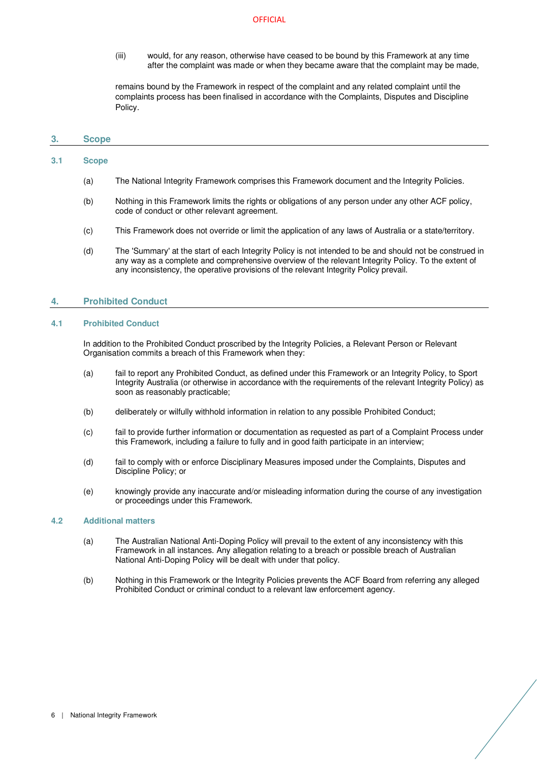#### **OFFICIAL**

(iii) would, for any reason, otherwise have ceased to be bound by this Framework at any time after the complaint was made or when they became aware that the complaint may be made,

remains bound by the Framework in respect of the complaint and any related complaint until the complaints process has been finalised in accordance with the Complaints, Disputes and Discipline Policy.

## **3. Scope**

## **3.1 Scope**

- (a) The National Integrity Framework comprises this Framework document and the Integrity Policies.
- (b) Nothing in this Framework limits the rights or obligations of any person under any other ACF policy, code of conduct or other relevant agreement.
- (c) This Framework does not override or limit the application of any laws of Australia or a state/territory.
- (d) The 'Summary' at the start of each Integrity Policy is not intended to be and should not be construed in any way as a complete and comprehensive overview of the relevant Integrity Policy. To the extent of any inconsistency, the operative provisions of the relevant Integrity Policy prevail.

## **4. Prohibited Conduct**

## **4.1 Prohibited Conduct**

In addition to the Prohibited Conduct proscribed by the Integrity Policies, a Relevant Person or Relevant Organisation commits a breach of this Framework when they:

- (a) fail to report any Prohibited Conduct, as defined under this Framework or an Integrity Policy, to Sport Integrity Australia (or otherwise in accordance with the requirements of the relevant Integrity Policy) as soon as reasonably practicable;
- (b) deliberately or wilfully withhold information in relation to any possible Prohibited Conduct;
- (c) fail to provide further information or documentation as requested as part of a Complaint Process under this Framework, including a failure to fully and in good faith participate in an interview;
- (d) fail to comply with or enforce Disciplinary Measures imposed under the Complaints, Disputes and Discipline Policy; or
- (e) knowingly provide any inaccurate and/or misleading information during the course of any investigation or proceedings under this Framework.

## **4.2 Additional matters**

- (a) The Australian National Anti-Doping Policy will prevail to the extent of any inconsistency with this Framework in all instances. Any allegation relating to a breach or possible breach of Australian National Anti-Doping Policy will be dealt with under that policy.
- (b) Nothing in this Framework or the Integrity Policies prevents the ACF Board from referring any alleged Prohibited Conduct or criminal conduct to a relevant law enforcement agency.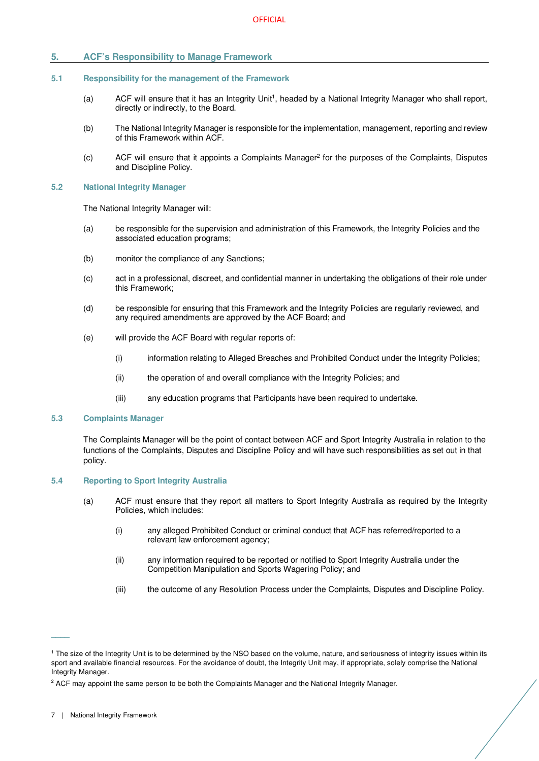## **5. ACF's Responsibility to Manage Framework**

### **5.1 Responsibility for the management of the Framework**

- (a) ACF will ensure that it has an Integrity Unit<sup>1</sup>, headed by a National Integrity Manager who shall report, directly or indirectly, to the Board.
- (b) The National Integrity Manager is responsible for the implementation, management, reporting and review of this Framework within ACF.
- (c) ACF will ensure that it appoints a Complaints Manager<sup>2</sup> for the purposes of the Complaints, Disputes and Discipline Policy.

#### **5.2 National Integrity Manager**

The National Integrity Manager will:

- (a) be responsible for the supervision and administration of this Framework, the Integrity Policies and the associated education programs;
- (b) monitor the compliance of any Sanctions;
- (c) act in a professional, discreet, and confidential manner in undertaking the obligations of their role under this Framework;
- (d) be responsible for ensuring that this Framework and the Integrity Policies are regularly reviewed, and any required amendments are approved by the ACF Board; and
- (e) will provide the ACF Board with regular reports of:
	- (i) information relating to Alleged Breaches and Prohibited Conduct under the Integrity Policies;
	- (ii) the operation of and overall compliance with the Integrity Policies; and
	- (iii) any education programs that Participants have been required to undertake.

#### **5.3 Complaints Manager**

The Complaints Manager will be the point of contact between ACF and Sport Integrity Australia in relation to the functions of the Complaints, Disputes and Discipline Policy and will have such responsibilities as set out in that policy.

## **5.4 Reporting to Sport Integrity Australia**

- (a) ACF must ensure that they report all matters to Sport Integrity Australia as required by the Integrity Policies, which includes:
	- (i) any alleged Prohibited Conduct or criminal conduct that ACF has referred/reported to a relevant law enforcement agency;
	- (ii) any information required to be reported or notified to Sport Integrity Australia under the Competition Manipulation and Sports Wagering Policy; and
	- (iii) the outcome of any Resolution Process under the Complaints, Disputes and Discipline Policy.

 $\overline{\phantom{a}}$ 

<sup>1</sup> The size of the Integrity Unit is to be determined by the NSO based on the volume, nature, and seriousness of integrity issues within its sport and available financial resources. For the avoidance of doubt, the Integrity Unit may, if appropriate, solely comprise the National Integrity Manager.

<sup>&</sup>lt;sup>2</sup> ACF may appoint the same person to be both the Complaints Manager and the National Integrity Manager.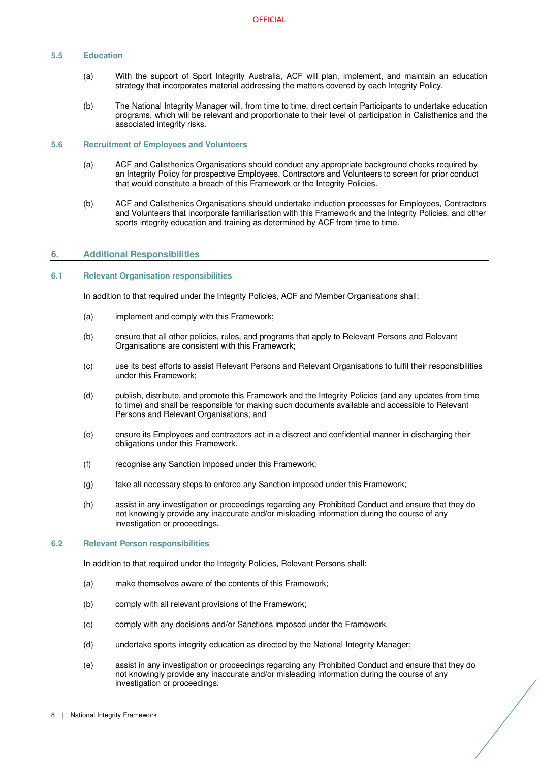## **5.5 Education**

- (a) With the support of Sport Integrity Australia, ACF will plan, implement, and maintain an education strategy that incorporates material addressing the matters covered by each Integrity Policy.
- (b) The National Integrity Manager will, from time to time, direct certain Participants to undertake education programs, which will be relevant and proportionate to their level of participation in Calisthenics and the associated integrity risks.

## **5.6 Recruitment of Employees and Volunteers**

- (a) ACF and Calisthenics Organisations should conduct any appropriate background checks required by an Integrity Policy for prospective Employees, Contractors and Volunteers to screen for prior conduct that would constitute a breach of this Framework or the Integrity Policies.
- (b) ACF and Calisthenics Organisations should undertake induction processes for Employees, Contractors and Volunteers that incorporate familiarisation with this Framework and the Integrity Policies, and other sports integrity education and training as determined by ACF from time to time.

## **6. Additional Responsibilities**

## **6.1 Relevant Organisation responsibilities**

In addition to that required under the Integrity Policies, ACF and Member Organisations shall:

- (a) implement and comply with this Framework;
- (b) ensure that all other policies, rules, and programs that apply to Relevant Persons and Relevant Organisations are consistent with this Framework;
- (c) use its best efforts to assist Relevant Persons and Relevant Organisations to fulfil their responsibilities under this Framework;
- (d) publish, distribute, and promote this Framework and the Integrity Policies (and any updates from time to time) and shall be responsible for making such documents available and accessible to Relevant Persons and Relevant Organisations; and
- (e) ensure its Employees and contractors act in a discreet and confidential manner in discharging their obligations under this Framework.
- (f) recognise any Sanction imposed under this Framework;
- (g) take all necessary steps to enforce any Sanction imposed under this Framework;
- (h) assist in any investigation or proceedings regarding any Prohibited Conduct and ensure that they do not knowingly provide any inaccurate and/or misleading information during the course of any investigation or proceedings.

## **6.2 Relevant Person responsibilities**

In addition to that required under the Integrity Policies, Relevant Persons shall:

- (a) make themselves aware of the contents of this Framework;
- (b) comply with all relevant provisions of the Framework;
- (c) comply with any decisions and/or Sanctions imposed under the Framework.
- (d) undertake sports integrity education as directed by the National Integrity Manager;
- (e) assist in any investigation or proceedings regarding any Prohibited Conduct and ensure that they do not knowingly provide any inaccurate and/or misleading information during the course of any investigation or proceedings.